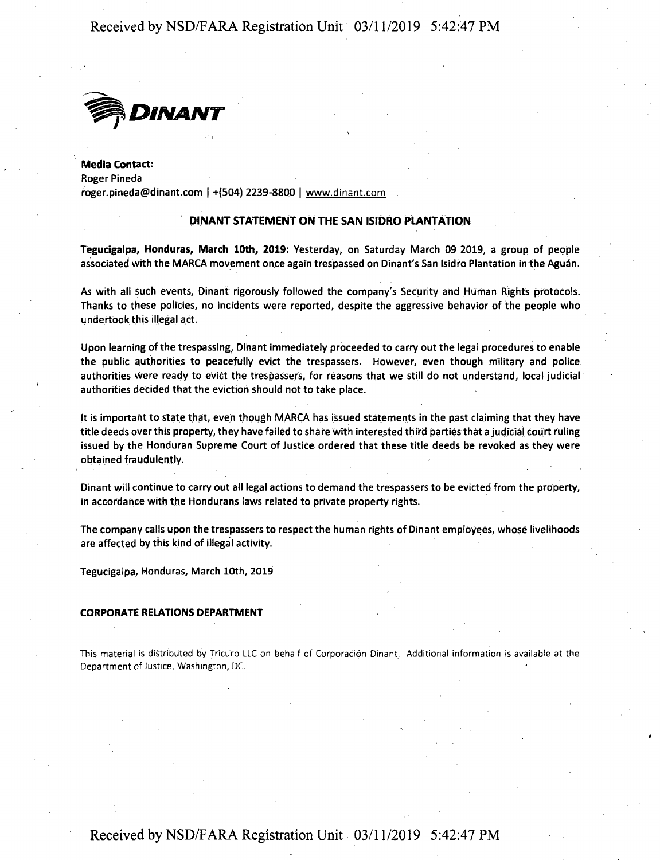# Received by NSD/FARA Registration Unit 03/11/2019 5:42:47 PM



Media Contact: Roger Pineda roger.pineda@dinant.com <sup>|</sup> +(504) 2239-8800 <sup>|</sup> www.dinant.com

### **DINANT STATEMENT ON THE SAN ISIDRO PLANTATION**

Tegucigalpa, Honduras, March 10th, 2019: Yesterday, on Saturday March 09 2019, a group of people associated with the MARCA movement once again trespassed on Dinant's San Isidro Plantation in the Aguan.

As with all such events, Dinant rigorously followed the company's Security and Human Rights protocols. Thanks to these policies, no incidents were reported, despite the aggressive behavior of the people who undertook this illegal act.

Upon learning of the trespassing, Dinant immediately proceeded to carry out the legal procedures to enable the public authorities to peacefully evict the trespassers. However, even though military and police authorities were ready to evict the trespassers, for reasons that we still do not understand, local judicial authorities decided that the eviction should not to take place.

It is important to state that, even though MARCA has issued statements in the past claiming that they have title deeds over this property, they have failed to share with interested third parties that <sup>a</sup> judicial court ruling issued by the Honduran Supreme Court of justice ordered that these title deeds be revoked as they were obtained fraudulently.

Dinant will continue to carry out all legal actions to demand the trespassers to be evicted from the property, ip accordance with the Hondurans laws related to private property rights.

The company calls upon the trespassers to respect the human rights of Dinant employees, whose livelihoods are affected by this kind of illegal activity.

Tegucigalpa, Honduras, March 10th, 2019

#### **CORPORATE RELATIONS DEPARTMENT**

This material is distributed by Tricuro LLC on behalf of Corporación Dinant. Additional information is available at the Department of Justice, Washington, DC.